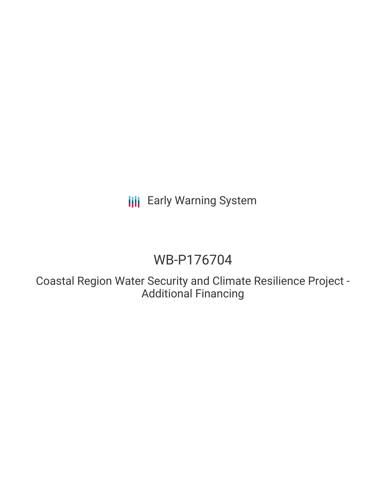## **III** Early Warning System

# WB-P176704

Coastal Region Water Security and Climate Resilience Project - Additional Financing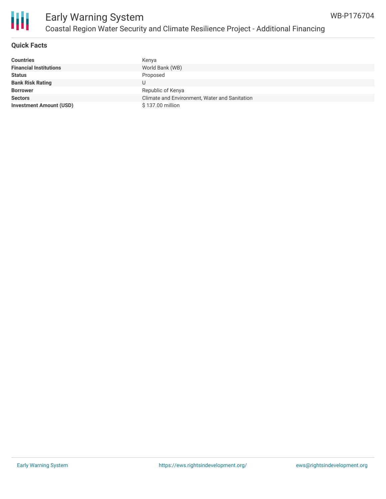

### **Quick Facts**

| <b>Countries</b>               | Kenya                                         |
|--------------------------------|-----------------------------------------------|
| <b>Financial Institutions</b>  | World Bank (WB)                               |
| <b>Status</b>                  | Proposed                                      |
| <b>Bank Risk Rating</b>        | U                                             |
| <b>Borrower</b>                | Republic of Kenya                             |
| <b>Sectors</b>                 | Climate and Environment, Water and Sanitation |
| <b>Investment Amount (USD)</b> | \$137.00 million                              |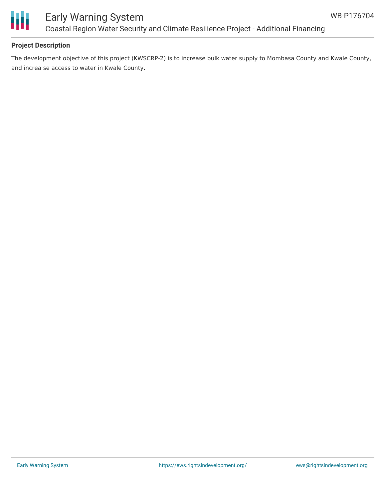

### Early Warning System Coastal Region Water Security and Climate Resilience Project - Additional Financing

### **Project Description**

The development objective of this project (KWSCRP-2) is to increase bulk water supply to Mombasa County and Kwale County, and increa se access to water in Kwale County.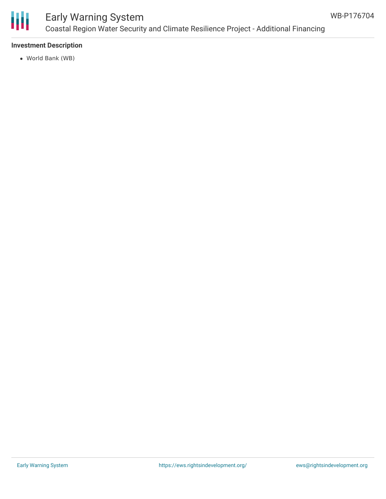

## Early Warning System Coastal Region Water Security and Climate Resilience Project - Additional Financing

### **Investment Description**

World Bank (WB)